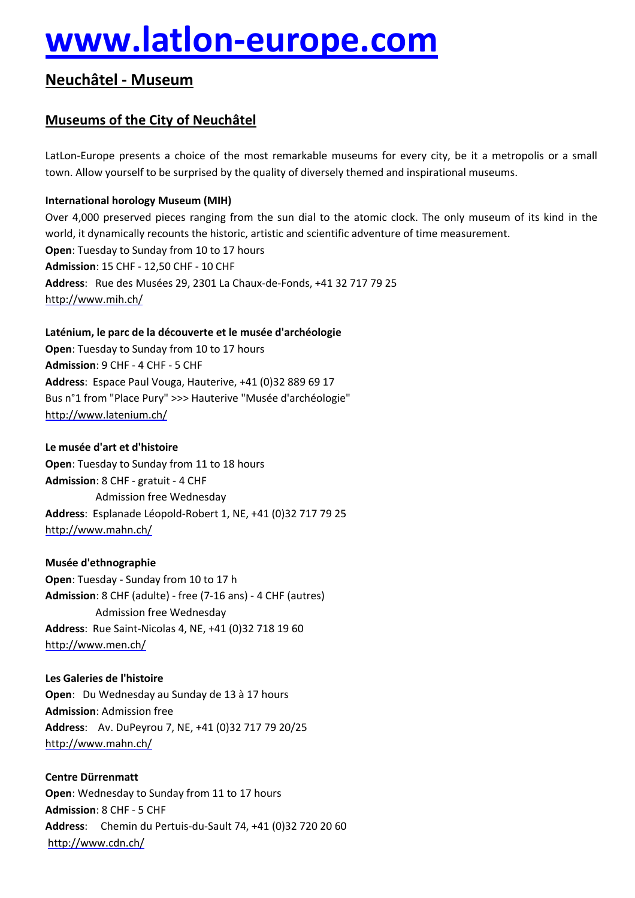# **[www.latlon-europe.com](http://www.latlon-europe.com)**

# **NeuchÄtel - Museum**

# **Museums of the City of NeuchÄtel**

LatLon-Europe presents a choice of the most remarkable museums for every city, be it a metropolis or a small town. Allow yourself to be surprised by the quality of diversely themed and inspirational museums.

## **International horology Museum (MIH)**

Over 4,000 preserved pieces ranging from the sun dial to the atomic clock. The only museum of its kind in the world, it dynamically recounts the historic, artistic and scientific adventure of time measurement. **Open**: Tuesday to Sunday from 10 to 17 hours **Admission**: 15 CHF - 12,50 CHF - 10 CHF Address: Rue des Musées 29, 2301 La Chaux-de-Fonds, +41 32 717 79 25 <http://www.mih.ch/>

## Laténium, le parc de la découverte et le musée d'archéologie

**Open**: Tuesday to Sunday from 10 to 17 hours **Admission**: 9 CHF - 4 CHF - 5 CHF **Address**: Espace Paul Vouga, Hauterive, +41 (0)32 889 69 17 Bus n°1 from "Place Pury" >>> Hauterive "Musée d'archéologie" <http://www.latenium.ch/>

### Le musée d'art et d'histoire

**Open**: Tuesday to Sunday from 11 to 18 hours **Admission**: 8 CHF - gratuit - 4 CHF Admission free Wednesday Address: Esplanade Léopold-Robert 1, NE, +41 (0)32 717 79 25 <http://www.mahn.ch/>

#### **MusÅe d'ethnographie**

**Open**: Tuesday - Sunday from 10 to 17 h **Admission**: 8 CHF (adulte) - free (7-16 ans) - 4 CHF (autres) Admission free Wednesday **Address**: Rue Saint-Nicolas 4, NE, +41 (0)32 718 19 60 <http://www.men.ch/>

**Les Galeries de l'histoire Open:** Du Wednesday au Sunday de 13 à 17 hours **Admission**: Admission free **Address**: Av. DuPeyrou 7, NE, +41 (0)32 717 79 20/25 <http://www.mahn.ch/>

**Centre Dürrenmatt Open**: Wednesday to Sunday from 11 to 17 hours **Admission**: 8 CHF - 5 CHF **Address**: Chemin du Pertuis-du-Sault 74, +41 (0)32 720 20 60 <http://www.cdn.ch/>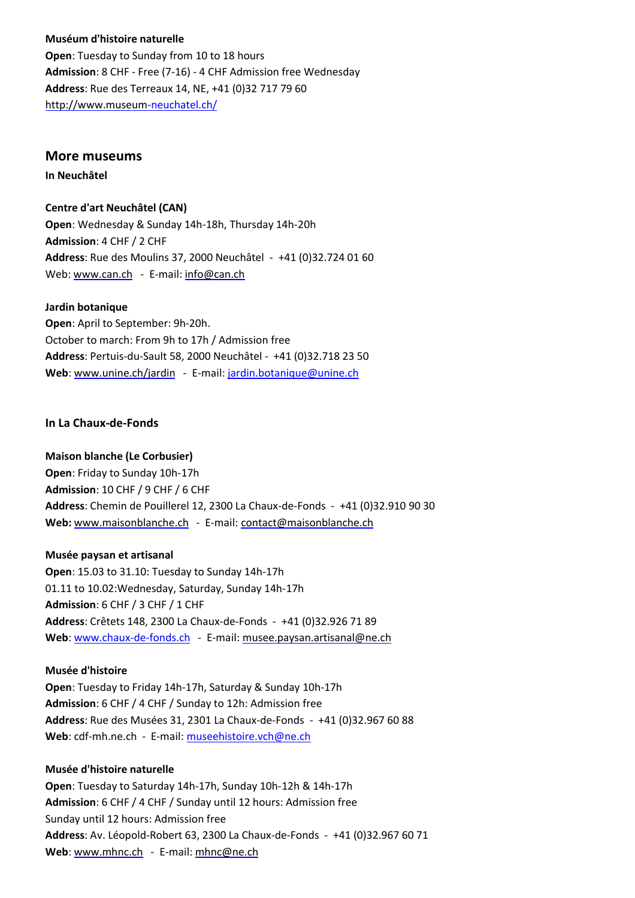# **MusÅum d'histoire naturelle Open**: Tuesday to Sunday from 10 to 18 hours **Admission**: 8 CHF - Free (7-16) - 4 CHF Admission free Wednesday **Address**: Rue des Terreaux 14, NE, +41 (0)32 717 79 60 [http://www.museu](http://www.museum)[m-neuchatel.ch/](http://www.museum-neuchatel.ch/)

#### **More museums**

**In NeuchÄtel**

#### **Centre d'art NeuchÄtel (CAN)**

**Open**: Wednesday & Sunday 14h-18h, Thursday 14h-20h **Admission**: 4 CHF / 2 CHF **Address**: Rue des Moulins 37, 2000 Neuchâtel - +41 (0)32.724 01 60 Web: [www.can.ch](http://www.can.ch) - E-mail: [info@can.ch](mailto:info@can.ch)

#### **Jardin botanique**

**Open**: April to September: 9h-20h. October to march: From 9h to 17h / Admission free **Address**: Pertuis-du-Sault 58, 2000 NeuchÉtel - +41 (0)32.718 23 50 Web: [www.unine.ch/jardin](http://www.unine.ch/jardin) - E-mail: [jardin.botanique@unine.ch](mailto:jardin.botanique@unine.ch)

#### **In La Chaux-de-Fonds**

#### **Maison blanche (Le Corbusier)**

**Open**: Friday to Sunday 10h-17h **Admission**: 10 CHF / 9 CHF / 6 CHF **Address**: Chemin de Pouillerel 12, 2300 La Chaux-de-Fonds - +41 (0)32.910 90 30 **Web:** [www.maisonblanche.ch](http://www.maisonblanche.ch) - E-mail: [contact@maisonblanche.ch](mailto:contact@maisonblanche.ch)

#### **MusÅe paysan et artisanal**

**Open**: 15.03 to 31.10: Tuesday to Sunday 14h-17h 01.11 to 10.02:Wednesday, Saturday, Sunday 14h-17h **Admission**: 6 CHF / 3 CHF / 1 CHF Address: Crêtets 148, 2300 La Chaux-de-Fonds - +41 (0)32.926 71 89 **Web**: [www.chaux-de-fonds.ch](http://www.chaux-de-fonds.ch) - E-mail: [musee.paysan.artisanal@ne.ch](http://musee.paysan.artisanal@ne.ch)

#### **Musée d'histoire**

**Open**: Tuesday to Friday 14h-17h, Saturday & Sunday 10h-17h **Admission**: 6 CHF / 4 CHF / Sunday to 12h: Admission free **Address**: Rue des Musées 31, 2301 La Chaux-de-Fonds - +41 (0)32.967 60 88 **Web**: cdf-mh.ne.ch - E-mail: [museehistoire.vch@ne.ch](mailto:museehistoire.vch@ne.ch)

#### **MusÅe d'histoire naturelle**

**Open**: Tuesday to Saturday 14h-17h, Sunday 10h-12h & 14h-17h **Admission**: 6 CHF / 4 CHF / Sunday until 12 hours: Admission free Sunday until 12 hours: Admission free **Address**: Av. Léopold-Robert 63, 2300 La Chaux-de-Fonds - +41 (0)32.967 60 71 **Web**: [www.mhnc.ch](http://www.mhnc.ch/) - E-mail: [mhnc@ne.ch](mailto:mhnc@ne.ch)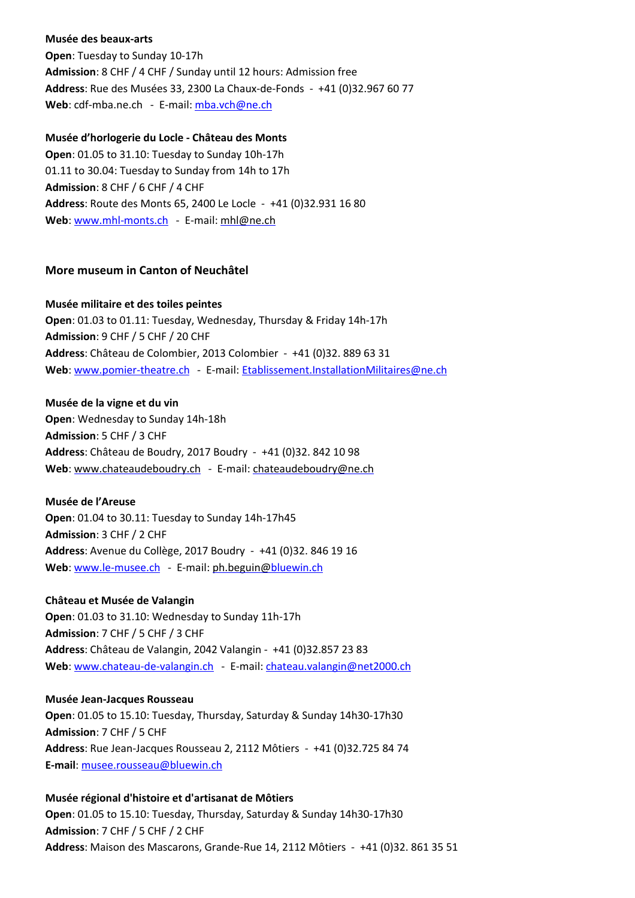#### **MusÅe des beaux-arts**

**Open**: Tuesday to Sunday 10-17h **Admission**: 8 CHF / 4 CHF / Sunday until 12 hours: Admission free **Address**: Rue des Musées 33, 2300 La Chaux-de-Fonds - +41 (0)32.967 60 77 Web: cdf-mba.ne.ch - E-mail: [mba.vch@ne.ch](mailto:mba.vch@ne.ch)

#### **Musée d'horlogerie du Locle - Château des Monts**

**Open**: 01.05 to 31.10: Tuesday to Sunday 10h-17h 01.11 to 30.04: Tuesday to Sunday from 14h to 17h **Admission**: 8 CHF / 6 CHF / 4 CHF **Address**: Route des Monts 65, 2400 Le Locle - +41 (0)32.931 16 80 **Web**: [www.mhl-monts.ch](http://www.mhl-monts.ch) - E-mail: [mhl@ne.ch](mailto:mhl@ne.ch)

#### **More museum in Canton of NeuchÄtel**

#### **MusÅe militaire et des toiles peintes**

**Open**: 01.03 to 01.11: Tuesday, Wednesday, Thursday & Friday 14h-17h **Admission**: 9 CHF / 5 CHF / 20 CHF **Address**: Château de Colombier, 2013 Colombier - +41 (0)32. 889 63 31 Web: [www.pomier-theatre.ch](http://www.pomier-theatre.ch) - E-mail: [Etablissement.InstallationMilitaires@ne.ch](mailto:Etablissement.InstallationMilitaires@ne.ch)

#### **MusÅe de la vigne et du vin**

**Open**: Wednesday to Sunday 14h-18h **Admission**: 5 CHF / 3 CHF **Address**: Château de Boudry, 2017 Boudry - +41 (0)32. 842 10 98 **Web**: [www.chateaudeboudry.ch](http://www.chateaudeboudry.ch) - E-mail: [chateaudeboudry@ne.ch](mailto:chateaudeboudry@ne.ch)

#### **Musée de l'Areuse**

**Open**: 01.04 to 30.11: Tuesday to Sunday 14h-17h45 **Admission**: 3 CHF / 2 CHF Address: Avenue du Collège, 2017 Boudry - +41 (0)32. 846 19 16 Web: [www.le-musee.ch](http://www.le-musee.ch) - E-mail: [ph.beguin@](mailto:ph.beguin@)[bluewin.ch](mailto:ph.beguin@bluewin.ch)

#### **Château et Musée de Valangin**

**Open**: 01.03 to 31.10: Wednesday to Sunday 11h-17h **Admission**: 7 CHF / 5 CHF / 3 CHF **Address**: Château de Valangin, 2042 Valangin - +41 (0)32.857 23 83 **Web**: [www.chateau-de-valangin.c](http://www.chateau-de-valangin.ch)[h](http://www.chateau-de-valangin.ch/) - E-mail: [chateau.valangin@net2000.ch](mailto:chateau.valangin@net2000.ch)

#### **MusÅe Jean-Jacques Rousseau**

**Open**: 01.05 to 15.10: Tuesday, Thursday, Saturday & Sunday 14h30-17h30 **Admission**: 7 CHF / 5 CHF **Address:** Rue Jean-Jacques Rousseau 2, 2112 Môtiers - +41 (0)32.725 84 74 **E-mail**: [musee.rousseau@bluewin.ch](mailto:musee.rousseau@bluewin.ch)

#### Musée régional d'histoire et d'artisanat de Môtiers

**Open**: 01.05 to 15.10: Tuesday, Thursday, Saturday & Sunday 14h30-17h30 **Admission**: 7 CHF / 5 CHF / 2 CHF Address: Maison des Mascarons, Grande-Rue 14, 2112 Môtiers - +41 (0)32. 861 35 51